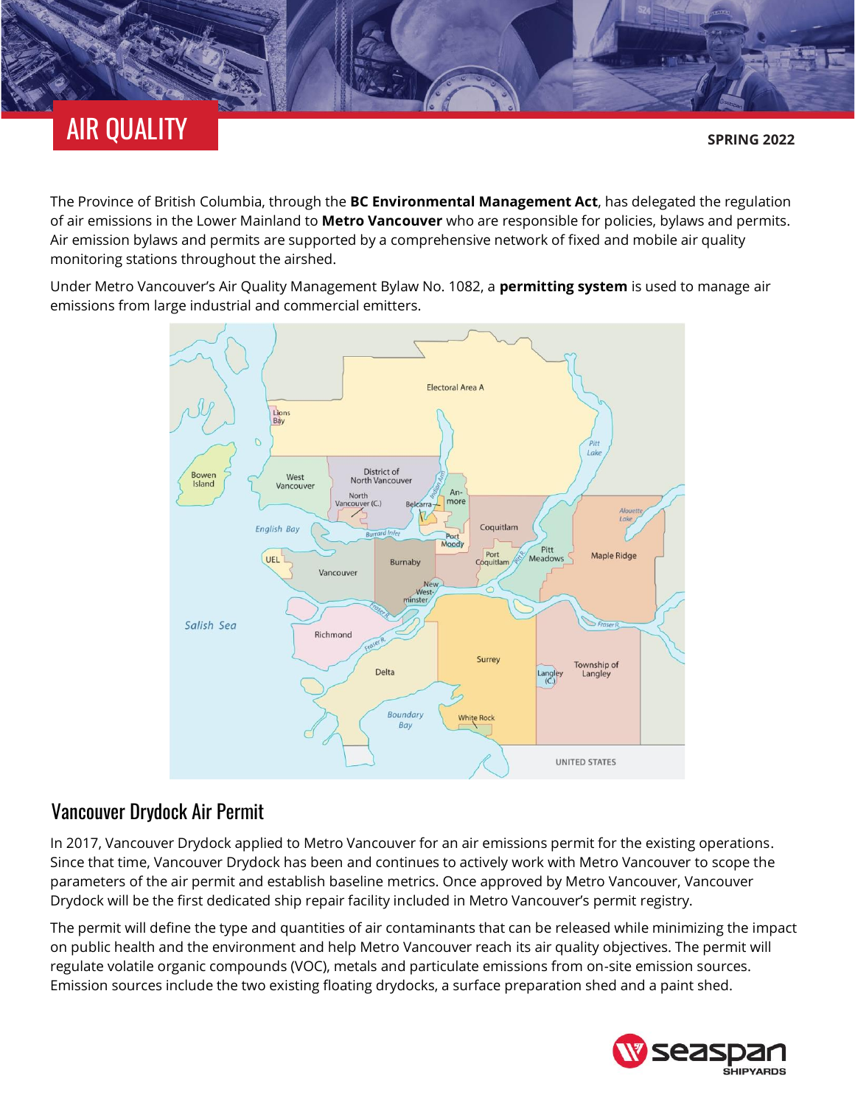## AIR QUALITY

The Province of British Columbia, through the **[BC Environmental Management Act](https://www.bclaws.gov.bc.ca/civix/document/id/complete/statreg/03053_00)**, has delegated the regulation of air emissions in the Lower Mainland to **[Metro Vancouver](http://www.metrovancouver.org/air)** who are responsible for policies, bylaws and permits. Air emission bylaws and permits are supported by a comprehensive network of fixed and mobile air quality monitoring stations throughout the airshed.

Under Metro Vancouver's Air Quality Management Bylaw No. 1082, a **[permitting system](http://www.metrovancouver.org/services/Permits-regulations-enforcement/PermitRegulationEnforcementPublications/AirQualityPermittingProcess.pdf)** is used to manage air emissions from large industrial and commercial emitters.



## Vancouver Drydock Air Permit

In 2017, Vancouver Drydock applied to Metro Vancouver for an air emissions permit for the existing operations. Since that time, Vancouver Drydock has been and continues to actively work with Metro Vancouver to scope the parameters of the air permit and establish baseline metrics. Once approved by Metro Vancouver, Vancouver Drydock will be the first dedicated ship repair facility included in Metro Vancouver's permit registry.

The permit will define the type and quantities of air contaminants that can be released while minimizing the impact on public health and the environment and help Metro Vancouver reach its air quality objectives. The permit will regulate volatile organic compounds (VOC), metals and particulate emissions from on-site emission sources. Emission sources include the two existing floating drydocks, a surface preparation shed and a paint shed.